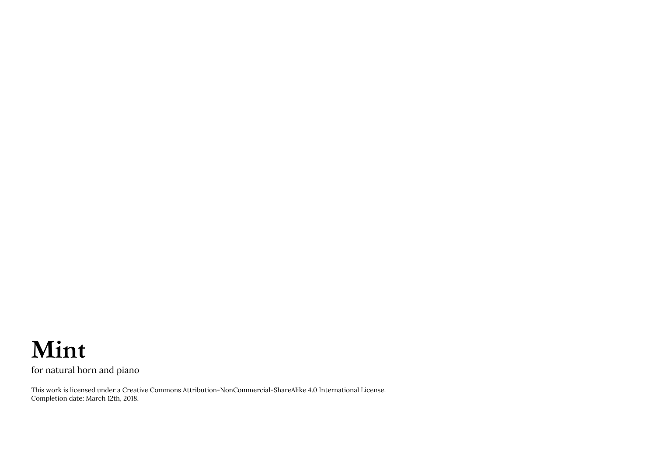## **Mint**

for natural horn and piano

This work is licensed under a Creative Commons Attribution-NonCommercial-ShareAlike 4.0 International License. Completion date: March 12th, 2018.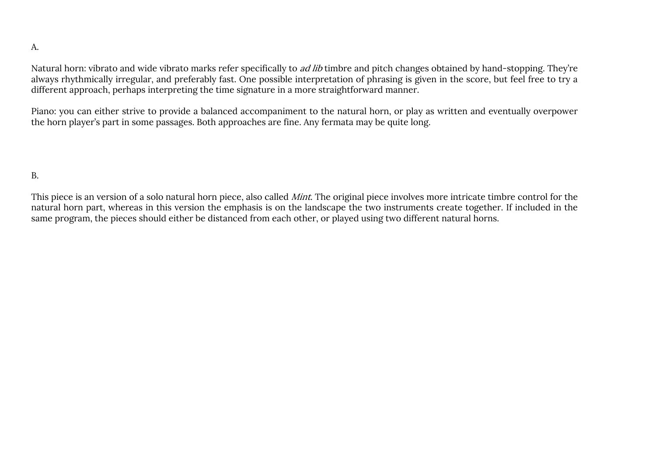## A.

Natural horn: vibrato and wide vibrato marks refer specifically to *ad lib* timbre and pitch changes obtained by hand-stopping. They're always rhythmically irregular, and preferably fast. One possible interpretation of phrasing is given in the score, but feel free to try a different approach, perhaps interpreting the time signature in a more straightforward manner.

Piano: you can either strive to provide a balanced accompaniment to the natural horn, or play as written and eventually overpower the horn player's part in some passages. Both approaches are fine. Any fermata may be quite long.

B.

This piece is an version of a solo natural horn piece, also called *Mint*. The original piece involves more intricate timbre control for the natural horn part, whereas in this version the emphasis is on the landscape the two instruments create together. If included in the same program, the pieces should either be distanced from each other, or played using two different natural horns.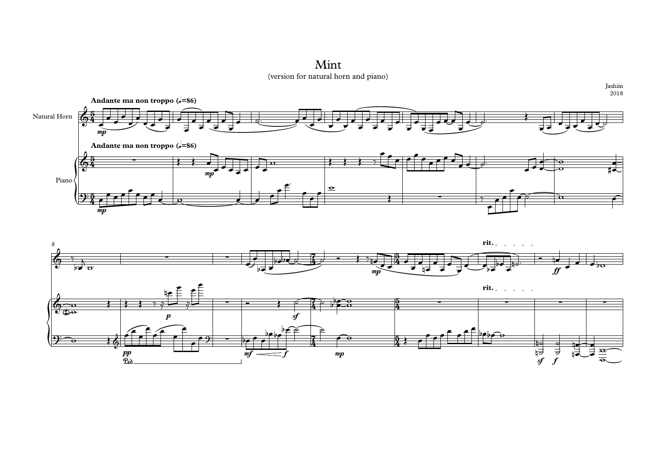(version for natural horn and piano) Mint



Jashiin 2018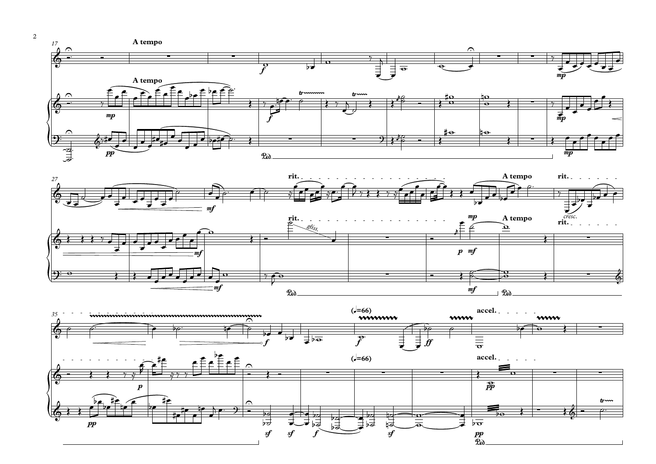









2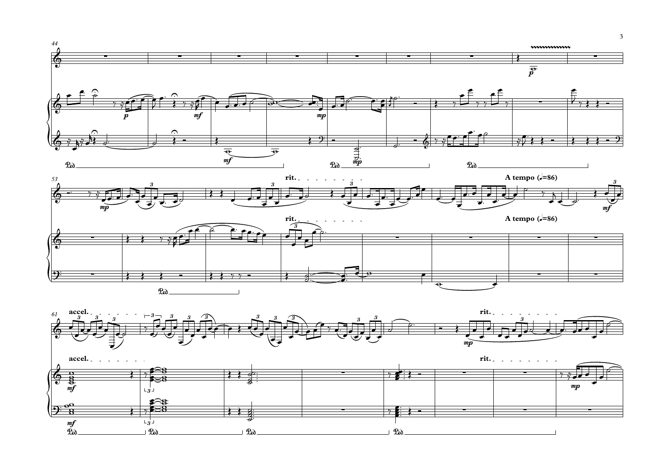